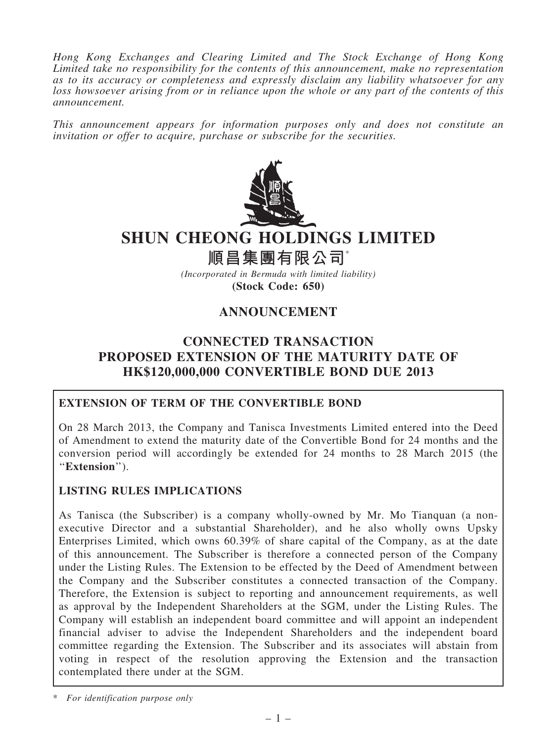*Hong Kong Exchanges and Clearing Limited and The Stock Exchange of Hong Kong Limited take no responsibility for the contents of this announcement, make no representation as to its accuracy or completeness and expressly disclaim any liability whatsoever for any loss howsoever arising from or in reliance upon the whole or any part of the contents of this announcement.*

*This announcement appears for information purposes only and does not constitute an invitation or offer to acquire, purchase or subscribe for the securities.*



# SHUN CHEONG HOLDINGS LIMITED

順昌集團有限公司\*

*(Incorporated in Bermuda with limited liability)* (Stock Code: 650)

# ANNOUNCEMENT

# CONNECTED TRANSACTION PROPOSED EXTENSION OF THE MATURITY DATE OF HK\$120,000,000 CONVERTIBLE BOND DUE 2013

### EXTENSION OF TERM OF THE CONVERTIBLE BOND

On 28 March 2013, the Company and Tanisca Investments Limited entered into the Deed of Amendment to extend the maturity date of the Convertible Bond for 24 months and the conversion period will accordingly be extended for 24 months to 28 March 2015 (the "Extension").

### LISTING RULES IMPLICATIONS

As Tanisca (the Subscriber) is a company wholly-owned by Mr. Mo Tianquan (a nonexecutive Director and a substantial Shareholder), and he also wholly owns Upsky Enterprises Limited, which owns 60.39% of share capital of the Company, as at the date of this announcement. The Subscriber is therefore a connected person of the Company under the Listing Rules. The Extension to be effected by the Deed of Amendment between the Company and the Subscriber constitutes a connected transaction of the Company. Therefore, the Extension is subject to reporting and announcement requirements, as well as approval by the Independent Shareholders at the SGM, under the Listing Rules. The Company will establish an independent board committee and will appoint an independent financial adviser to advise the Independent Shareholders and the independent board committee regarding the Extension. The Subscriber and its associates will abstain from voting in respect of the resolution approving the Extension and the transaction contemplated there under at the SGM.

\* *For identification purpose only*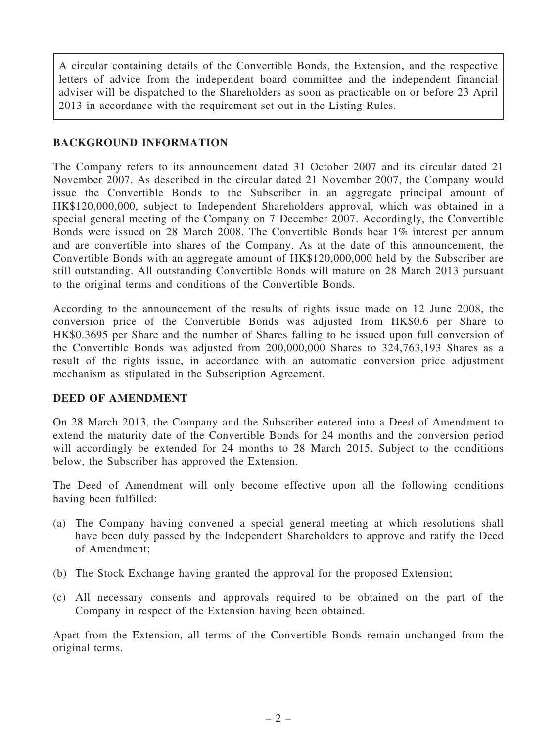A circular containing details of the Convertible Bonds, the Extension, and the respective letters of advice from the independent board committee and the independent financial adviser will be dispatched to the Shareholders as soon as practicable on or before 23 April 2013 in accordance with the requirement set out in the Listing Rules.

### BACKGROUND INFORMATION

The Company refers to its announcement dated 31 October 2007 and its circular dated 21 November 2007. As described in the circular dated 21 November 2007, the Company would issue the Convertible Bonds to the Subscriber in an aggregate principal amount of HK\$120,000,000, subject to Independent Shareholders approval, which was obtained in a special general meeting of the Company on 7 December 2007. Accordingly, the Convertible Bonds were issued on 28 March 2008. The Convertible Bonds bear 1% interest per annum and are convertible into shares of the Company. As at the date of this announcement, the Convertible Bonds with an aggregate amount of HK\$120,000,000 held by the Subscriber are still outstanding. All outstanding Convertible Bonds will mature on 28 March 2013 pursuant to the original terms and conditions of the Convertible Bonds.

According to the announcement of the results of rights issue made on 12 June 2008, the conversion price of the Convertible Bonds was adjusted from HK\$0.6 per Share to HK\$0.3695 per Share and the number of Shares falling to be issued upon full conversion of the Convertible Bonds was adjusted from 200,000,000 Shares to 324,763,193 Shares as a result of the rights issue, in accordance with an automatic conversion price adjustment mechanism as stipulated in the Subscription Agreement.

### DEED OF AMENDMENT

On 28 March 2013, the Company and the Subscriber entered into a Deed of Amendment to extend the maturity date of the Convertible Bonds for 24 months and the conversion period will accordingly be extended for 24 months to 28 March 2015. Subject to the conditions below, the Subscriber has approved the Extension.

The Deed of Amendment will only become effective upon all the following conditions having been fulfilled:

- (a) The Company having convened a special general meeting at which resolutions shall have been duly passed by the Independent Shareholders to approve and ratify the Deed of Amendment;
- (b) The Stock Exchange having granted the approval for the proposed Extension;
- (c) All necessary consents and approvals required to be obtained on the part of the Company in respect of the Extension having been obtained.

Apart from the Extension, all terms of the Convertible Bonds remain unchanged from the original terms.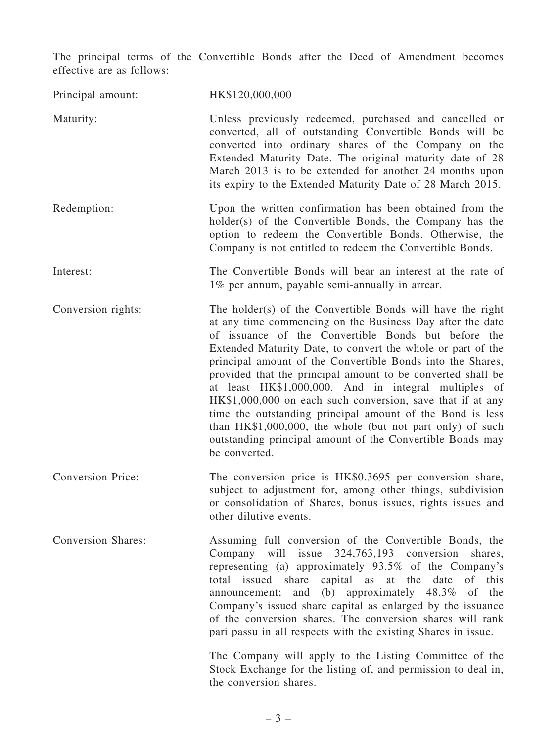The principal terms of the Convertible Bonds after the Deed of Amendment becomes effective are as follows:

| Principal amount:         | HK\$120,000,000                                                                                                                                                                                                                                                                                                                                                                                                                                                                                                                                                                                                                                                                                          |
|---------------------------|----------------------------------------------------------------------------------------------------------------------------------------------------------------------------------------------------------------------------------------------------------------------------------------------------------------------------------------------------------------------------------------------------------------------------------------------------------------------------------------------------------------------------------------------------------------------------------------------------------------------------------------------------------------------------------------------------------|
| Maturity:                 | Unless previously redeemed, purchased and cancelled or<br>converted, all of outstanding Convertible Bonds will be<br>converted into ordinary shares of the Company on the<br>Extended Maturity Date. The original maturity date of 28<br>March 2013 is to be extended for another 24 months upon<br>its expiry to the Extended Maturity Date of 28 March 2015.                                                                                                                                                                                                                                                                                                                                           |
| Redemption:               | Upon the written confirmation has been obtained from the<br>holder(s) of the Convertible Bonds, the Company has the<br>option to redeem the Convertible Bonds. Otherwise, the<br>Company is not entitled to redeem the Convertible Bonds.                                                                                                                                                                                                                                                                                                                                                                                                                                                                |
| Interest:                 | The Convertible Bonds will bear an interest at the rate of<br>1% per annum, payable semi-annually in arrear.                                                                                                                                                                                                                                                                                                                                                                                                                                                                                                                                                                                             |
| Conversion rights:        | The holder(s) of the Convertible Bonds will have the right<br>at any time commencing on the Business Day after the date<br>of issuance of the Convertible Bonds but before the<br>Extended Maturity Date, to convert the whole or part of the<br>principal amount of the Convertible Bonds into the Shares,<br>provided that the principal amount to be converted shall be<br>at least HK\$1,000,000. And in integral multiples of<br>HK\$1,000,000 on each such conversion, save that if at any<br>time the outstanding principal amount of the Bond is less<br>than HK\$1,000,000, the whole (but not part only) of such<br>outstanding principal amount of the Convertible Bonds may<br>be converted. |
| <b>Conversion Price:</b>  | The conversion price is HK\$0.3695 per conversion share,<br>subject to adjustment for, among other things, subdivision<br>or consolidation of Shares, bonus issues, rights issues and<br>other dilutive events.                                                                                                                                                                                                                                                                                                                                                                                                                                                                                          |
| <b>Conversion Shares:</b> | Assuming full conversion of the Convertible Bonds, the<br>Company will issue 324,763,193 conversion<br>shares,<br>representing (a) approximately 93.5% of the Company's<br>total issued share<br>capital as at the date<br>of this<br>announcement; and (b) approximately 48.3% of the<br>Company's issued share capital as enlarged by the issuance<br>of the conversion shares. The conversion shares will rank<br>pari passu in all respects with the existing Shares in issue.                                                                                                                                                                                                                       |
|                           | The Company will apply to the Listing Committee of the<br>Stock Exchange for the listing of, and permission to deal in,<br>the conversion shares.                                                                                                                                                                                                                                                                                                                                                                                                                                                                                                                                                        |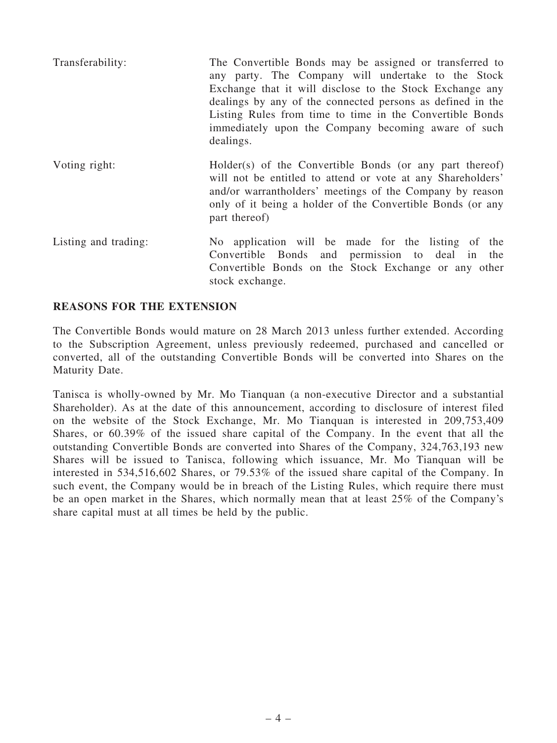| Transferability:     | The Convertible Bonds may be assigned or transferred to<br>any party. The Company will undertake to the Stock<br>Exchange that it will disclose to the Stock Exchange any<br>dealings by any of the connected persons as defined in the<br>Listing Rules from time to time in the Convertible Bonds<br>immediately upon the Company becoming aware of such<br>dealings. |
|----------------------|-------------------------------------------------------------------------------------------------------------------------------------------------------------------------------------------------------------------------------------------------------------------------------------------------------------------------------------------------------------------------|
| Voting right:        | Holder(s) of the Convertible Bonds (or any part thereof)<br>will not be entitled to attend or vote at any Shareholders'<br>and/or warrantholders' meetings of the Company by reason<br>only of it being a holder of the Convertible Bonds (or any<br>part thereof)                                                                                                      |
| Listing and trading: | No application will be made for the listing of the<br>Convertible Bonds and permission to deal in<br>the<br>Convertible Bonds on the Stock Exchange or any other                                                                                                                                                                                                        |

#### REASONS FOR THE EXTENSION

The Convertible Bonds would mature on 28 March 2013 unless further extended. According to the Subscription Agreement, unless previously redeemed, purchased and cancelled or converted, all of the outstanding Convertible Bonds will be converted into Shares on the Maturity Date.

stock exchange.

Tanisca is wholly-owned by Mr. Mo Tianquan (a non-executive Director and a substantial Shareholder). As at the date of this announcement, according to disclosure of interest filed on the website of the Stock Exchange, Mr. Mo Tianquan is interested in 209,753,409 Shares, or 60.39% of the issued share capital of the Company. In the event that all the outstanding Convertible Bonds are converted into Shares of the Company, 324,763,193 new Shares will be issued to Tanisca, following which issuance, Mr. Mo Tianquan will be interested in 534,516,602 Shares, or 79.53% of the issued share capital of the Company. In such event, the Company would be in breach of the Listing Rules, which require there must be an open market in the Shares, which normally mean that at least 25% of the Company's share capital must at all times be held by the public.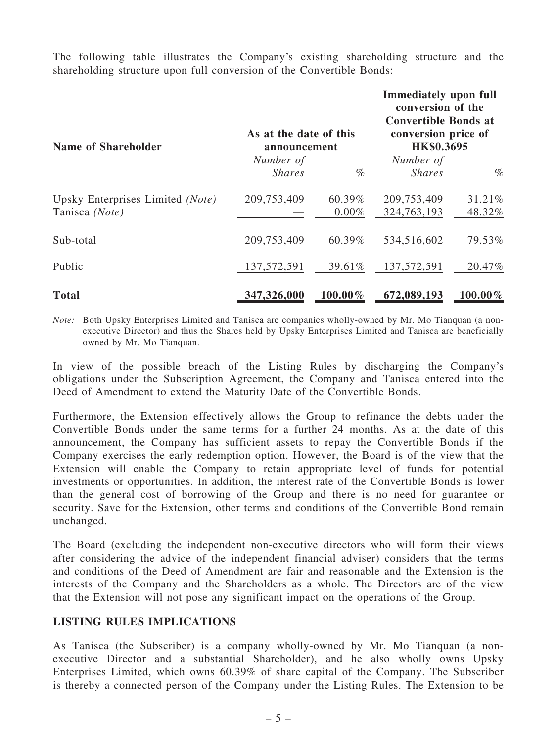The following table illustrates the Company's existing shareholding structure and the shareholding structure upon full conversion of the Convertible Bonds:

| <b>Name of Shareholder</b>       | As at the date of this<br>announcement |            | <b>Immediately upon full</b><br>conversion of the<br><b>Convertible Bonds at</b><br>conversion price of<br>HK\$0.3695 |            |
|----------------------------------|----------------------------------------|------------|-----------------------------------------------------------------------------------------------------------------------|------------|
|                                  | Number of                              |            | Number of                                                                                                             |            |
|                                  | <b>Shares</b>                          | $\%$       | <b>Shares</b>                                                                                                         | $\%$       |
| Upsky Enterprises Limited (Note) | 209,753,409                            | 60.39%     | 209,753,409                                                                                                           | 31.21%     |
| Tanisca (Note)                   |                                        | $0.00\%$   | 324,763,193                                                                                                           | 48.32%     |
| Sub-total                        | 209,753,409                            | 60.39%     | 534,516,602                                                                                                           | 79.53%     |
| Public                           | 137,572,591                            | 39.61%     | 137,572,591                                                                                                           | 20.47%     |
| <b>Total</b>                     | 347,326,000                            | $100.00\%$ | 672,089,193                                                                                                           | $100.00\%$ |

*Note:* Both Upsky Enterprises Limited and Tanisca are companies wholly-owned by Mr. Mo Tianquan (a nonexecutive Director) and thus the Shares held by Upsky Enterprises Limited and Tanisca are beneficially owned by Mr. Mo Tianquan.

In view of the possible breach of the Listing Rules by discharging the Company's obligations under the Subscription Agreement, the Company and Tanisca entered into the Deed of Amendment to extend the Maturity Date of the Convertible Bonds.

Furthermore, the Extension effectively allows the Group to refinance the debts under the Convertible Bonds under the same terms for a further 24 months. As at the date of this announcement, the Company has sufficient assets to repay the Convertible Bonds if the Company exercises the early redemption option. However, the Board is of the view that the Extension will enable the Company to retain appropriate level of funds for potential investments or opportunities. In addition, the interest rate of the Convertible Bonds is lower than the general cost of borrowing of the Group and there is no need for guarantee or security. Save for the Extension, other terms and conditions of the Convertible Bond remain unchanged.

The Board (excluding the independent non-executive directors who will form their views after considering the advice of the independent financial adviser) considers that the terms and conditions of the Deed of Amendment are fair and reasonable and the Extension is the interests of the Company and the Shareholders as a whole. The Directors are of the view that the Extension will not pose any significant impact on the operations of the Group.

#### LISTING RULES IMPLICATIONS

As Tanisca (the Subscriber) is a company wholly-owned by Mr. Mo Tianquan (a nonexecutive Director and a substantial Shareholder), and he also wholly owns Upsky Enterprises Limited, which owns 60.39% of share capital of the Company. The Subscriber is thereby a connected person of the Company under the Listing Rules. The Extension to be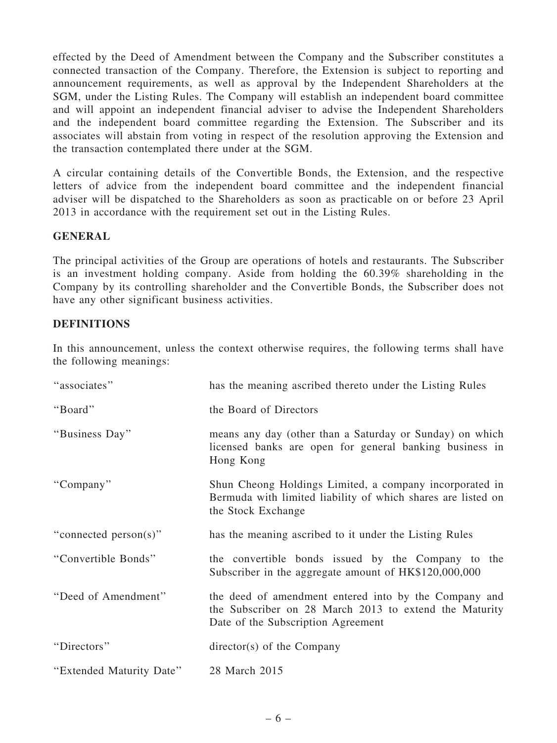effected by the Deed of Amendment between the Company and the Subscriber constitutes a connected transaction of the Company. Therefore, the Extension is subject to reporting and announcement requirements, as well as approval by the Independent Shareholders at the SGM, under the Listing Rules. The Company will establish an independent board committee and will appoint an independent financial adviser to advise the Independent Shareholders and the independent board committee regarding the Extension. The Subscriber and its associates will abstain from voting in respect of the resolution approving the Extension and the transaction contemplated there under at the SGM.

A circular containing details of the Convertible Bonds, the Extension, and the respective letters of advice from the independent board committee and the independent financial adviser will be dispatched to the Shareholders as soon as practicable on or before 23 April 2013 in accordance with the requirement set out in the Listing Rules.

#### **GENERAL**

The principal activities of the Group are operations of hotels and restaurants. The Subscriber is an investment holding company. Aside from holding the 60.39% shareholding in the Company by its controlling shareholder and the Convertible Bonds, the Subscriber does not have any other significant business activities.

#### DEFINITIONS

In this announcement, unless the context otherwise requires, the following terms shall have the following meanings:

| "associates"             | has the meaning ascribed thereto under the Listing Rules                                                                                              |
|--------------------------|-------------------------------------------------------------------------------------------------------------------------------------------------------|
| "Board"                  | the Board of Directors                                                                                                                                |
| "Business Day"           | means any day (other than a Saturday or Sunday) on which<br>licensed banks are open for general banking business in<br>Hong Kong                      |
| "Company"                | Shun Cheong Holdings Limited, a company incorporated in<br>Bermuda with limited liability of which shares are listed on<br>the Stock Exchange         |
| "connected person(s)"    | has the meaning ascribed to it under the Listing Rules                                                                                                |
| "Convertible Bonds"      | the convertible bonds issued by the Company to the<br>Subscriber in the aggregate amount of HK\$120,000,000                                           |
| "Deed of Amendment"      | the deed of amendment entered into by the Company and<br>the Subscriber on 28 March 2013 to extend the Maturity<br>Date of the Subscription Agreement |
| "Directors"              | $directory(s)$ of the Company                                                                                                                         |
| "Extended Maturity Date" | 28 March 2015                                                                                                                                         |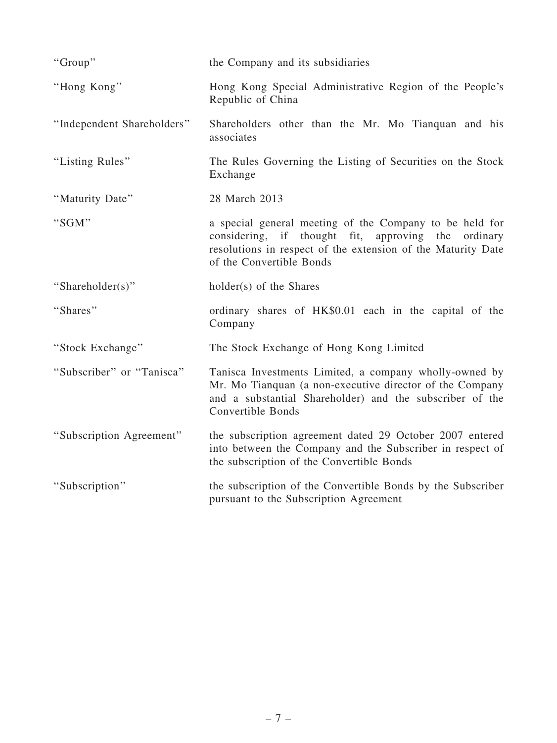| "Group"                    | the Company and its subsidiaries                                                                                                                                                                                 |
|----------------------------|------------------------------------------------------------------------------------------------------------------------------------------------------------------------------------------------------------------|
| "Hong Kong"                | Hong Kong Special Administrative Region of the People's<br>Republic of China                                                                                                                                     |
| "Independent Shareholders" | Shareholders other than the Mr. Mo Tianguan and his<br>associates                                                                                                                                                |
| "Listing Rules"            | The Rules Governing the Listing of Securities on the Stock<br>Exchange                                                                                                                                           |
| "Maturity Date"            | 28 March 2013                                                                                                                                                                                                    |
| "SGM"                      | a special general meeting of the Company to be held for<br>thought fit, approving the<br>considering, if<br>ordinary<br>resolutions in respect of the extension of the Maturity Date<br>of the Convertible Bonds |
| "Shareholder(s)"           | holder(s) of the Shares                                                                                                                                                                                          |
| "Shares"                   | ordinary shares of HK\$0.01 each in the capital of the<br>Company                                                                                                                                                |
| "Stock Exchange"           | The Stock Exchange of Hong Kong Limited                                                                                                                                                                          |
| "Subscriber" or "Tanisca"  | Tanisca Investments Limited, a company wholly-owned by<br>Mr. Mo Tianquan (a non-executive director of the Company<br>and a substantial Shareholder) and the subscriber of the<br>Convertible Bonds              |
| "Subscription Agreement"   | the subscription agreement dated 29 October 2007 entered<br>into between the Company and the Subscriber in respect of<br>the subscription of the Convertible Bonds                                               |
| "Subscription"             | the subscription of the Convertible Bonds by the Subscriber<br>pursuant to the Subscription Agreement                                                                                                            |